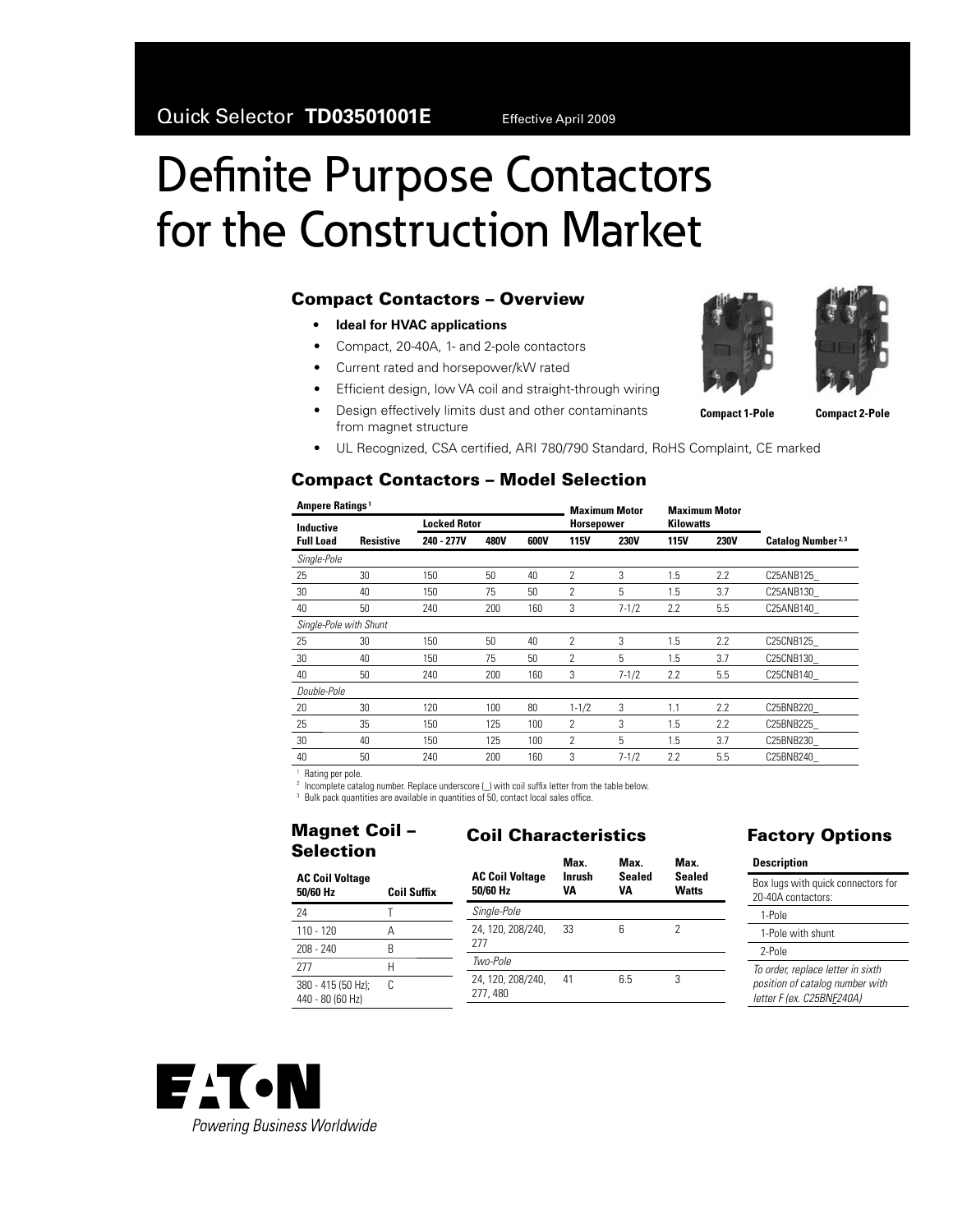# Definite Purpose Contactors for the Construction Market

#### **Compact Contactors – Overview**

- **Ideal for HVAC applications**
- Compact, 20-40A, 1- and 2-pole contactors
- Current rated and horsepower/kW rated
- Efficient design, low VA coil and straight-through wiring
- Design effectively limits dust and other contaminants from magnet structure
- UL Recognized, CSA certified, ARI 780/790 Standard, RoHS Complaint, CE marked

#### **Compact Contactors – Model Selection**

| Ampere Ratings <sup>1</sup> |                  |                     |             | <b>Maximum Motor</b> |                          | <b>Maximum Motor</b> |                  |             |                                |
|-----------------------------|------------------|---------------------|-------------|----------------------|--------------------------|----------------------|------------------|-------------|--------------------------------|
| Inductive                   |                  | <b>Locked Rotor</b> |             |                      | Horsepower               |                      | <b>Kilowatts</b> |             |                                |
| <b>Full Load</b>            | <b>Resistive</b> | 240 - 277V          | <b>480V</b> | 600V                 | <b>115V</b>              | <b>230V</b>          | <b>115V</b>      | <b>230V</b> | Catalog Number <sup>2, 3</sup> |
| Single-Pole                 |                  |                     |             |                      |                          |                      |                  |             |                                |
| 25                          | 30               | 150                 | 50          | 40                   | 2                        | 3                    | 1.5              | 2.2         | C25ANB125                      |
| 30                          | 40               | 150                 | 75          | 50                   | $\overline{\phantom{a}}$ | 5                    | 1.5              | 3.7         | C25ANB130                      |
| 40                          | 50               | 240                 | 200         | 160                  | 3                        | $7 - 1/2$            | 2.2              | 5.5         | C25ANB140                      |
| Single-Pole with Shunt      |                  |                     |             |                      |                          |                      |                  |             |                                |
| 25                          | 30               | 150                 | 50          | 40                   | $\mathcal{P}$            | 3                    | 1.5              | 2.2         | C25CNB125                      |
| 30                          | 40               | 150                 | 75          | 50                   | $\mathfrak{p}$           | $5^{\circ}$          | 1.5              | 3.7         | C25CNB130                      |
| 40                          | 50               | 240                 | 200         | 160                  | 3                        | $7 - 1/2$            | 2.2              | 5.5         | C25CNB140                      |
| Double-Pole                 |                  |                     |             |                      |                          |                      |                  |             |                                |
| 20                          | 30               | 120                 | 100         | 80                   | $1 - 1/2$                | 3                    | 1.1              | 2.2         | C25BNB220                      |
| 25                          | 35               | 150                 | 125         | 100                  | 2                        | 3                    | 1.5              | 2.2         | C25BNB225                      |
| 30                          | 40               | 150                 | 125         | 100                  | 2                        | 5                    | 1.5              | 3.7         | C25BNB230                      |
| 40                          | 50               | 240                 | 200         | 160                  | 3                        | $7 - 1/2$            | 2.2              | 5.5         | C25BNB240                      |

<sup>1</sup> Rating per pole.

<sup>2</sup> Incomplete catalog number. Replace underscore (\_) with coil suffix letter from the table below.

 $3$  Bulk pack quantities are available in quantities of 50, contact local sales office.

#### **Magnet Coil – Selection**

### **Coil Characteristics**

| <b>AC Coil Voltage</b><br>50/60 Hz<br><b>Coil Suffix</b> |   | <b>AC Coil Voltage</b><br>50/60 Hz | Max.<br>Inrush<br>VA | Max.<br>Sealed<br>VA | Max.<br>Sealed<br><b>Watts</b> |
|----------------------------------------------------------|---|------------------------------------|----------------------|----------------------|--------------------------------|
| 24                                                       |   | Single-Pole                        |                      |                      |                                |
| $110 - 120$                                              | Α | 24, 120, 208/240,                  | 33                   | 6                    | 2                              |
| $208 - 240$                                              | B | 277                                |                      |                      |                                |
| 277                                                      | Н | Two-Pole                           |                      |                      |                                |
| 380 - 415 (50 Hz);<br>440 - 80 (60 Hz)                   | C | 24, 120, 208/240,<br>277, 480      | 41                   | 6.5                  | 3                              |

### **Factory Options**

| <b>Description</b>                                                                                |  |
|---------------------------------------------------------------------------------------------------|--|
| Box lugs with quick connectors for<br>20-40A contactors:                                          |  |
| 1-Pole                                                                                            |  |
| 1-Pole with shunt                                                                                 |  |
| 2-Pole                                                                                            |  |
| To order, replace letter in sixth<br>position of catalog number with<br>letter F (ex. C25BNF240A) |  |
|                                                                                                   |  |









**Compact 1-Pole Compact 2-Pole**